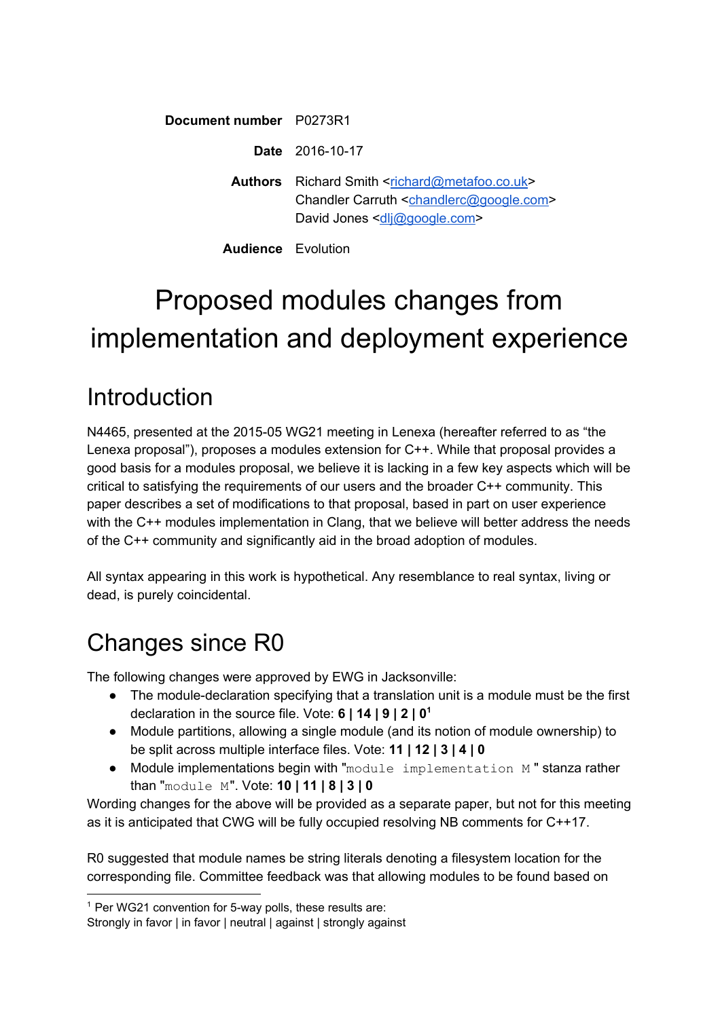**Document number** P0273R1

**Date** 2016-10-17

Authors Richard Smith [<richard@metafoo.co.uk>](mailto:richard@metafoo.co.uk) Chandler Carruth [<chandlerc@google.com>](mailto:chandlerc@google.com) David Jones [<dlj@google.com>](mailto:dlj@google.com)

**Audience** Evolution

# Proposed modules changes from implementation and deployment experience

## Introduction

N4465, presented at the 2015-05 WG21 meeting in Lenexa (hereafter referred to as "the Lenexa proposal"), proposes a modules extension for C++. While that proposal provides a good basis for a modules proposal, we believe it is lacking in a few key aspects which will be critical to satisfying the requirements of our users and the broader C++ community. This paper describes a set of modifications to that proposal, based in part on user experience with the C++ modules implementation in Clang, that we believe will better address the needs of the C++ community and significantly aid in the broad adoption of modules.

All syntax appearing in this work is hypothetical. Any resemblance to real syntax, living or dead, is purely coincidental.

# Changes since R0

The following changes were approved by EWG in Jacksonville:

- The module-declaration specifying that a translation unit is a module must be the first declaration in the source file. Vote: **6 | 14 | 9 | 2 | 0 1**
- Module partitions, allowing a single module (and its notion of module ownership) to be split across multiple interface files. Vote: **11 | 12 | 3 | 4 | 0**
- Module implementations begin with "module implementation M " stanza rather than "module M". Vote: **10 | 11 | 8 | 3 | 0**

Wording changes for the above will be provided as a separate paper, but not for this meeting as it is anticipated that CWG will be fully occupied resolving NB comments for C++17.

R0 suggested that module names be string literals denoting a filesystem location for the corresponding file. Committee feedback was that allowing modules to be found based on

<sup>&</sup>lt;sup>1</sup> Per WG21 convention for 5-way polls, these results are:

Strongly in favor | in favor | neutral | against | strongly against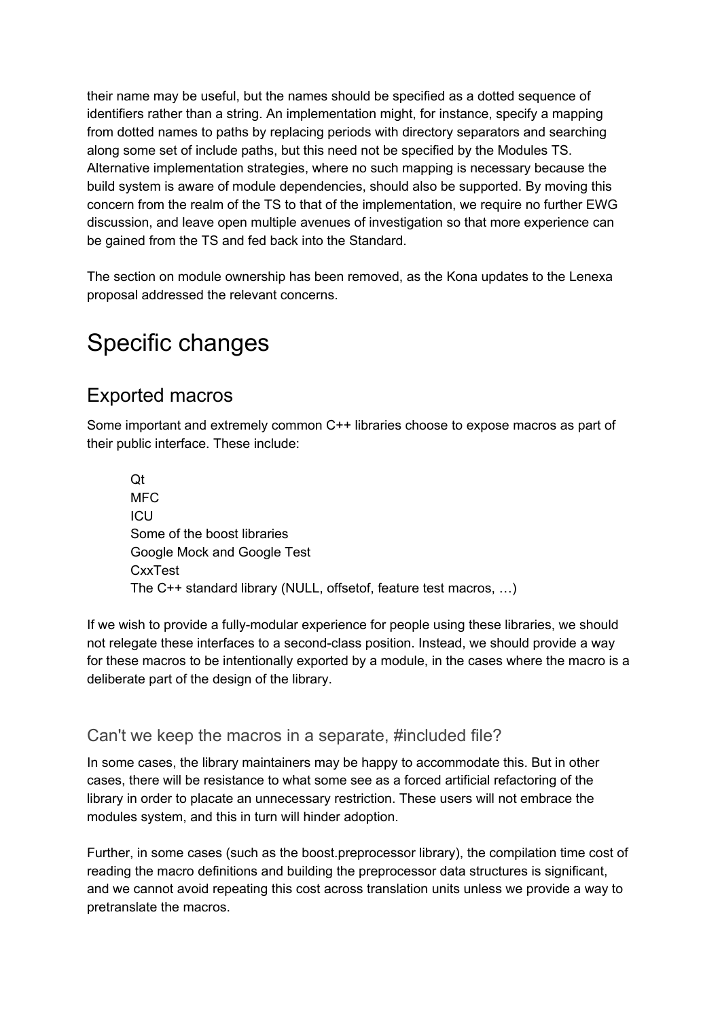their name may be useful, but the names should be specified as a dotted sequence of identifiers rather than a string. An implementation might, for instance, specify a mapping from dotted names to paths by replacing periods with directory separators and searching along some set of include paths, but this need not be specified by the Modules TS. Alternative implementation strategies, where no such mapping is necessary because the build system is aware of module dependencies, should also be supported. By moving this concern from the realm of the TS to that of the implementation, we require no further EWG discussion, and leave open multiple avenues of investigation so that more experience can be gained from the TS and fed back into the Standard.

The section on module ownership has been removed, as the Kona updates to the Lenexa proposal addressed the relevant concerns.

### Specific changes

### Exported macros

Some important and extremely common C++ libraries choose to expose macros as part of their public interface. These include:

Qt MFC ICU Some of the boost libraries Google Mock and Google Test CxxTest The C++ standard library (NULL, offsetof, feature test macros, …)

If we wish to provide a fully-modular experience for people using these libraries, we should not relegate these interfaces to a second-class position. Instead, we should provide a way for these macros to be intentionally exported by a module, in the cases where the macro is a deliberate part of the design of the library.

#### Can't we keep the macros in a separate, #included file?

In some cases, the library maintainers may be happy to accommodate this. But in other cases, there will be resistance to what some see as a forced artificial refactoring of the library in order to placate an unnecessary restriction. These users will not embrace the modules system, and this in turn will hinder adoption.

Further, in some cases (such as the boost.preprocessor library), the compilation time cost of reading the macro definitions and building the preprocessor data structures is significant, and we cannot avoid repeating this cost across translation units unless we provide a way to pretranslate the macros.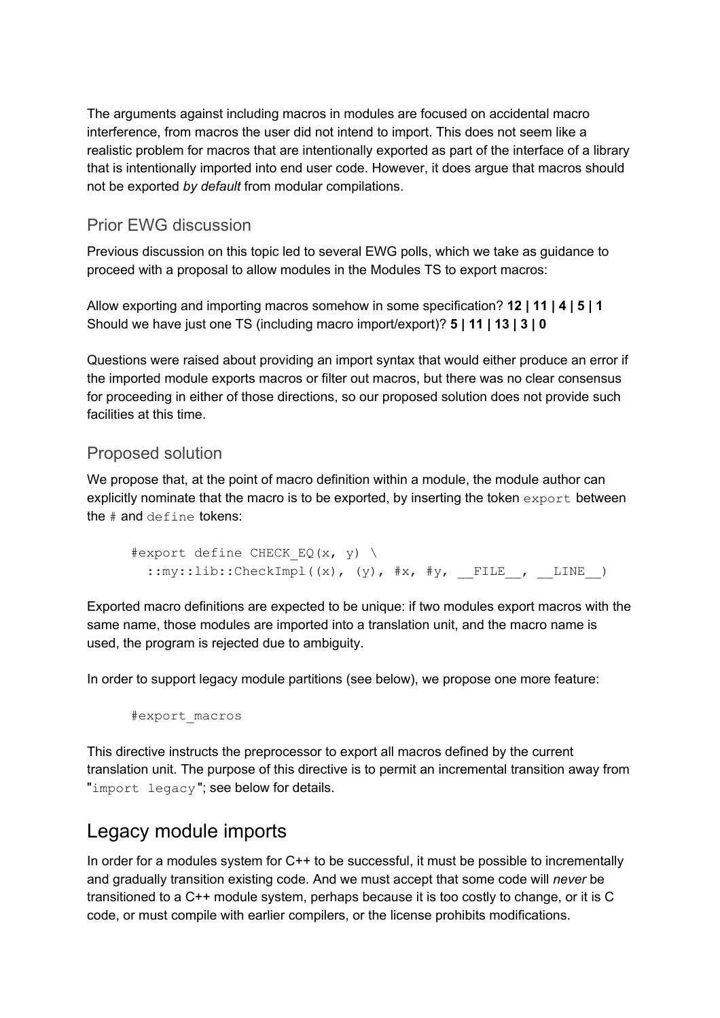The arguments against including macros in modules are focused on accidental macro interference, from macros the user did not intend to import. This does not seem like a realistic problem for macros that are intentionally exported as part of the interface of a library that is intentionally imported into end user code. However, it does argue that macros should not be exported *by default* from modular compilations.

#### Prior EWG discussion

Previous discussion on this topic led to several EWG polls, which we take as guidance to proceed with a proposal to allow modules in the Modules TS to export macros:

Allow exporting and importing macros somehow in some specification? **12 | 11 | 4 | 5 | 1** Should we have just one TS (including macro import/export)? **5 | 11 | 13 | 3 | 0**

Questions were raised about providing an import syntax that would either produce an error if the imported module exports macros or filter out macros, but there was no clear consensus for proceeding in either of those directions, so our proposed solution does not provide such facilities at this time.

#### Proposed solution

We propose that, at the point of macro definition within a module, the module author can explicitly nominate that the macro is to be exported, by inserting the token  $\epsilon_{\text{xport}}$  between the # and define tokens:

```
#export define CHECK EQ(x, y) \
 ::my::lib::CheckImpl((x), (y), #x, #y, FILE , LINE )
```
Exported macro definitions are expected to be unique: if two modules export macros with the same name, those modules are imported into a translation unit, and the macro name is used, the program is rejected due to ambiguity.

In order to support legacy module partitions (see below), we propose one more feature:

#export\_macros

This directive instructs the preprocessor to export all macros defined by the current translation unit. The purpose of this directive is to permit an incremental transition away from "import legacy"; see below for details.

### Legacy module imports

In order for a modules system for C++ to be successful, it must be possible to incrementally and gradually transition existing code. And we must accept that some code will *never* be transitioned to a C++ module system, perhaps because it is too costly to change, or it is C code, or must compile with earlier compilers, or the license prohibits modifications.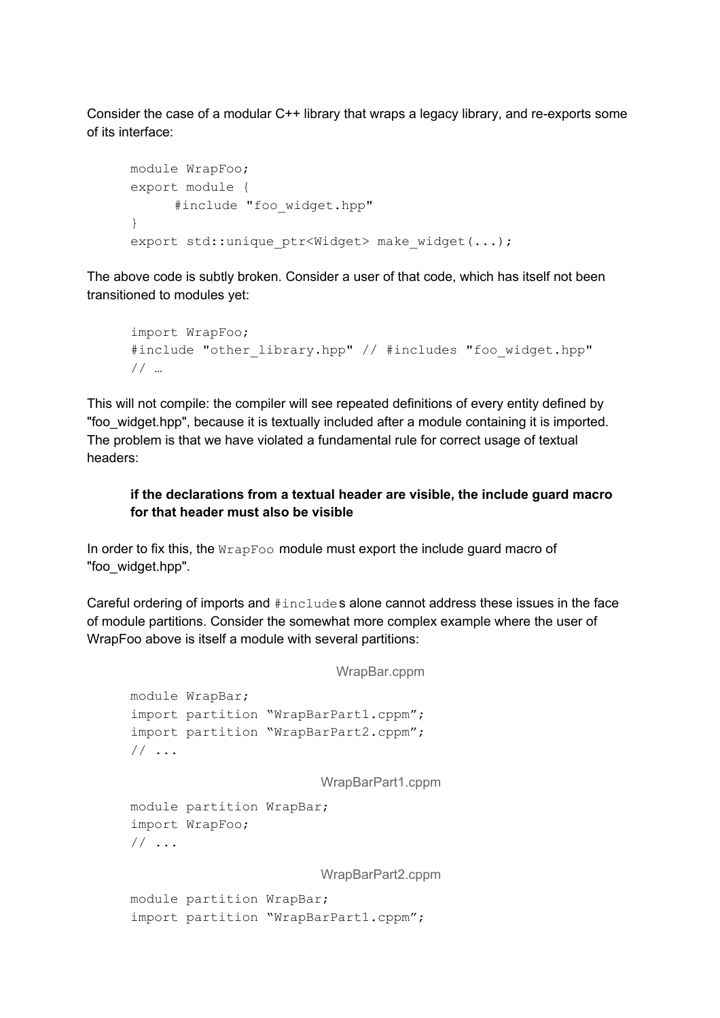Consider the case of a modular C++ library that wraps a legacy library, and re-exports some of its interface:

```
module WrapFoo;
export module {
     #include "foo_widget.hpp"
}
export std:: unique ptr<Widget> make widget(...);
```
The above code is subtly broken. Consider a user of that code, which has itself not been transitioned to modules yet:

```
import WrapFoo;
#include "other library.hpp" // #includes "foo widget.hpp"
// …
```
This will not compile: the compiler will see repeated definitions of every entity defined by "foo\_widget.hpp", because it is textually included after a module containing it is imported. The problem is that we have violated a fundamental rule for correct usage of textual headers:

#### **if the declarations from a textual header are visible, the include guard macro for that header must also be visible**

In order to fix this, the  $W_{\text{PapFoo}}$  module must export the include guard macro of "foo\_widget.hpp".

Careful ordering of imports and #includes alone cannot address these issues in the face of module partitions. Consider the somewhat more complex example where the user of WrapFoo above is itself a module with several partitions:

```
WrapBar.cppm
module WrapBar;
import partition "WrapBarPart1.cppm";
import partition "WrapBarPart2.cppm";
// ...
                        WrapBarPart1.cppm
module partition WrapBar;
import WrapFoo;
// ...
                        WrapBarPart2.cppm
module partition WrapBar;
import partition "WrapBarPart1.cppm";
```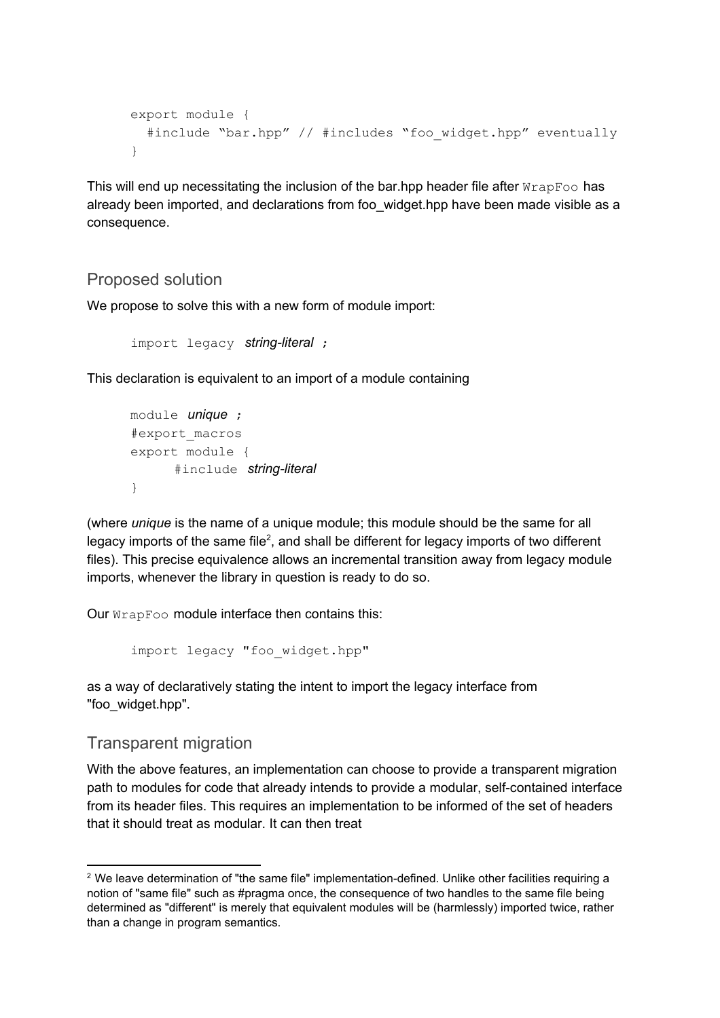```
export module {
  #include "bar.hpp" // #includes "foo widget.hpp" eventually
}
```
This will end up necessitating the inclusion of the bar.hpp header file after  $WrapFoo$  has already been imported, and declarations from foo widget.hpp have been made visible as a consequence.

#### Proposed solution

We propose to solve this with a new form of module import:

```
import legacy string-literal ;
```
This declaration is equivalent to an import of a module containing

```
module unique ;
#export_macros
export module {
      #include string-literal
}
```
(where *unique* is the name of a unique module; this module should be the same for all legacy imports of the same file<sup>2</sup>, and shall be different for legacy imports of two different files). This precise equivalence allows an incremental transition away from legacy module imports, whenever the library in question is ready to do so.

Our WrapFoo module interface then contains this:

```
import legacy "foo_widget.hpp"
```
as a way of declaratively stating the intent to import the legacy interface from "foo\_widget.hpp".

#### Transparent migration

With the above features, an implementation can choose to provide a transparent migration path to modules for code that already intends to provide a modular, self-contained interface from its header files. This requires an implementation to be informed of the set of headers that it should treat as modular. It can then treat

<sup>&</sup>lt;sup>2</sup> We leave determination of "the same file" implementation-defined. Unlike other facilities requiring a notion of "same file" such as #pragma once, the consequence of two handles to the same file being determined as "different" is merely that equivalent modules will be (harmlessly) imported twice, rather than a change in program semantics.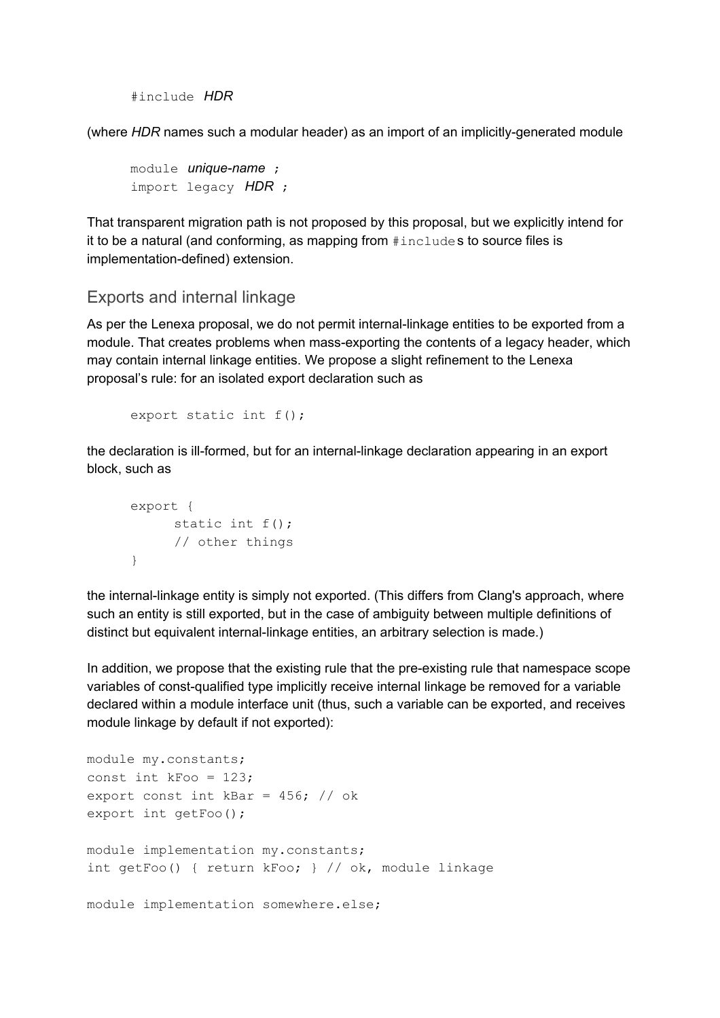```
#include HDR
```
(where *HDR* names such a modular header) as an import of an implicitly-generated module

```
module unique-name ;
import legacy HDR ;
```
That transparent migration path is not proposed by this proposal, but we explicitly intend for it to be a natural (and conforming, as mapping from #includes to source files is implementation-defined) extension.

#### Exports and internal linkage

As per the Lenexa proposal, we do not permit internal-linkage entities to be exported from a module. That creates problems when mass-exporting the contents of a legacy header, which may contain internal linkage entities. We propose a slight refinement to the Lenexa proposal's rule: for an isolated export declaration such as

```
export static int f();
```
the declaration is ill-formed, but for an internal-linkage declaration appearing in an export block, such as

```
export {
     static int f();
     // other things
}
```
the internal-linkage entity is simply not exported. (This differs from Clang's approach, where such an entity is still exported, but in the case of ambiguity between multiple definitions of distinct but equivalent internal-linkage entities, an arbitrary selection is made.)

In addition, we propose that the existing rule that the pre-existing rule that namespace scope variables of const-qualified type implicitly receive internal linkage be removed for a variable declared within a module interface unit (thus, such a variable can be exported, and receives module linkage by default if not exported):

```
module my.constants;
const int kFoo = 123;
export const int kBar = 456; // ok
export int getFoo();
module implementation my.constants;
int getFoo() { return kFoo; } // ok, module linkage
module implementation somewhere.else;
```